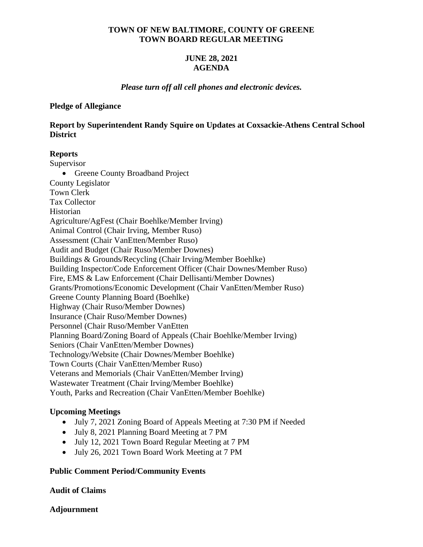# **TOWN OF NEW BALTIMORE, COUNTY OF GREENE TOWN BOARD REGULAR MEETING**

# **JUNE 28, 2021 AGENDA**

# *Please turn off all cell phones and electronic devices.*

#### **Pledge of Allegiance**

**Report by Superintendent Randy Squire on Updates at Coxsackie-Athens Central School District** 

# **Reports**

Supervisor • Greene County Broadband Project County Legislator Town Clerk Tax Collector Historian Agriculture/AgFest (Chair Boehlke/Member Irving) Animal Control (Chair Irving, Member Ruso) Assessment (Chair VanEtten/Member Ruso) Audit and Budget (Chair Ruso/Member Downes) Buildings & Grounds/Recycling (Chair Irving/Member Boehlke) Building Inspector/Code Enforcement Officer (Chair Downes/Member Ruso) Fire, EMS & Law Enforcement (Chair Dellisanti/Member Downes) Grants/Promotions/Economic Development (Chair VanEtten/Member Ruso) Greene County Planning Board (Boehlke) Highway (Chair Ruso/Member Downes) Insurance (Chair Ruso/Member Downes) Personnel (Chair Ruso/Member VanEtten Planning Board/Zoning Board of Appeals (Chair Boehlke/Member Irving) Seniors (Chair VanEtten/Member Downes) Technology/Website (Chair Downes/Member Boehlke) Town Courts (Chair VanEtten/Member Ruso) Veterans and Memorials (Chair VanEtten/Member Irving) Wastewater Treatment (Chair Irving/Member Boehlke) Youth, Parks and Recreation (Chair VanEtten/Member Boehlke)

# **Upcoming Meetings**

- July 7, 2021 Zoning Board of Appeals Meeting at 7:30 PM if Needed
- July 8, 2021 Planning Board Meeting at 7 PM
- July 12, 2021 Town Board Regular Meeting at 7 PM
- July 26, 2021 Town Board Work Meeting at 7 PM

# **Public Comment Period/Community Events**

# **Audit of Claims**

**Adjournment**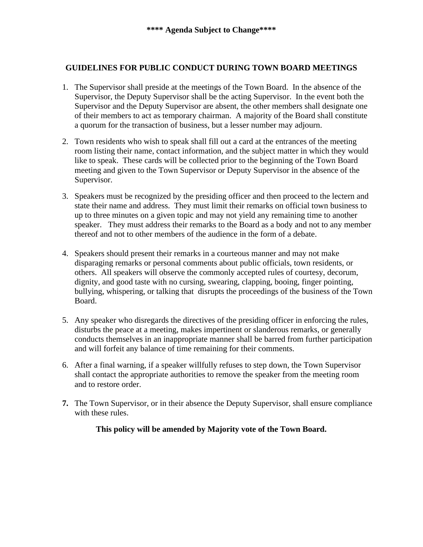# **GUIDELINES FOR PUBLIC CONDUCT DURING TOWN BOARD MEETINGS**

- 1. The Supervisor shall preside at the meetings of the Town Board. In the absence of the Supervisor, the Deputy Supervisor shall be the acting Supervisor. In the event both the Supervisor and the Deputy Supervisor are absent, the other members shall designate one of their members to act as temporary chairman. A majority of the Board shall constitute a quorum for the transaction of business, but a lesser number may adjourn.
- 2. Town residents who wish to speak shall fill out a card at the entrances of the meeting room listing their name, contact information, and the subject matter in which they would like to speak. These cards will be collected prior to the beginning of the Town Board meeting and given to the Town Supervisor or Deputy Supervisor in the absence of the Supervisor.
- 3. Speakers must be recognized by the presiding officer and then proceed to the lectern and state their name and address. They must limit their remarks on official town business to up to three minutes on a given topic and may not yield any remaining time to another speaker. They must address their remarks to the Board as a body and not to any member thereof and not to other members of the audience in the form of a debate.
- 4. Speakers should present their remarks in a courteous manner and may not make disparaging remarks or personal comments about public officials, town residents, or others. All speakers will observe the commonly accepted rules of courtesy, decorum, dignity, and good taste with no cursing, swearing, clapping, booing, finger pointing, bullying, whispering, or talking that disrupts the proceedings of the business of the Town Board.
- 5. Any speaker who disregards the directives of the presiding officer in enforcing the rules, disturbs the peace at a meeting, makes impertinent or slanderous remarks, or generally conducts themselves in an inappropriate manner shall be barred from further participation and will forfeit any balance of time remaining for their comments.
- 6. After a final warning, if a speaker willfully refuses to step down, the Town Supervisor shall contact the appropriate authorities to remove the speaker from the meeting room and to restore order.
- **7.** The Town Supervisor, or in their absence the Deputy Supervisor, shall ensure compliance with these rules.

**This policy will be amended by Majority vote of the Town Board.**